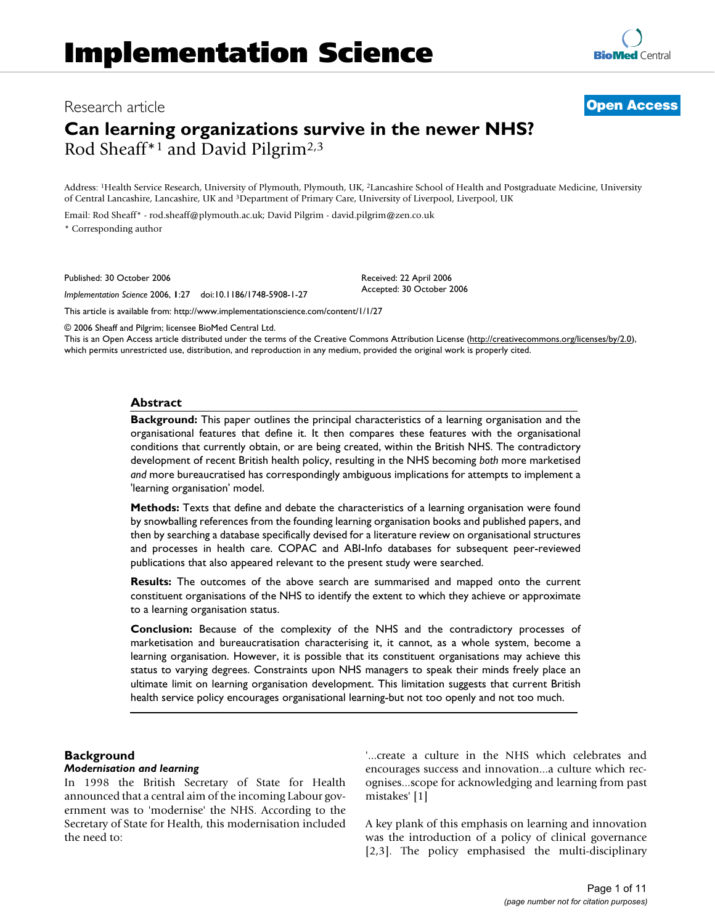# **Can learning organizations survive in the newer NHS?** Rod Sheaff\*1 and David Pilgrim2,3

Address: 1Health Service Research, University of Plymouth, Plymouth, UK, 2Lancashire School of Health and Postgraduate Medicine, University of Central Lancashire, Lancashire, UK and 3Department of Primary Care, University of Liverpool, Liverpool, UK

Email: Rod Sheaff\* - rod.sheaff@plymouth.ac.uk; David Pilgrim - david.pilgrim@zen.co.uk

\* Corresponding author

Published: 30 October 2006

*Implementation Science* 2006, **1**:27 doi:10.1186/1748-5908-1-27

[This article is available from: http://www.implementationscience.com/content/1/1/27](http://www.implementationscience.com/content/1/1/27)

© 2006 Sheaff and Pilgrim; licensee BioMed Central Ltd.

This is an Open Access article distributed under the terms of the Creative Commons Attribution License [\(http://creativecommons.org/licenses/by/2.0\)](http://creativecommons.org/licenses/by/2.0), which permits unrestricted use, distribution, and reproduction in any medium, provided the original work is properly cited.

#### **Abstract**

**Background:** This paper outlines the principal characteristics of a learning organisation and the organisational features that define it. It then compares these features with the organisational conditions that currently obtain, or are being created, within the British NHS. The contradictory development of recent British health policy, resulting in the NHS becoming *both* more marketised *and* more bureaucratised has correspondingly ambiguous implications for attempts to implement a 'learning organisation' model.

**Methods:** Texts that define and debate the characteristics of a learning organisation were found by snowballing references from the founding learning organisation books and published papers, and then by searching a database specifically devised for a literature review on organisational structures and processes in health care. COPAC and ABI-Info databases for subsequent peer-reviewed publications that also appeared relevant to the present study were searched.

**Results:** The outcomes of the above search are summarised and mapped onto the current constituent organisations of the NHS to identify the extent to which they achieve or approximate to a learning organisation status.

**Conclusion:** Because of the complexity of the NHS and the contradictory processes of marketisation and bureaucratisation characterising it, it cannot, as a whole system, become a learning organisation. However, it is possible that its constituent organisations may achieve this status to varying degrees. Constraints upon NHS managers to speak their minds freely place an ultimate limit on learning organisation development. This limitation suggests that current British health service policy encourages organisational learning-but not too openly and not too much.

#### **Background**

#### *Modernisation and learning*

In 1998 the British Secretary of State for Health announced that a central aim of the incoming Labour government was to 'modernise' the NHS. According to the Secretary of State for Health, this modernisation included the need to:

'...create a culture in the NHS which celebrates and encourages success and innovation...a culture which recognises...scope for acknowledging and learning from past mistakes' [1]

A key plank of this emphasis on learning and innovation was the introduction of a policy of clinical governance [2,3]. The policy emphasised the multi-disciplinary



Received: 22 April 2006 Accepted: 30 October 2006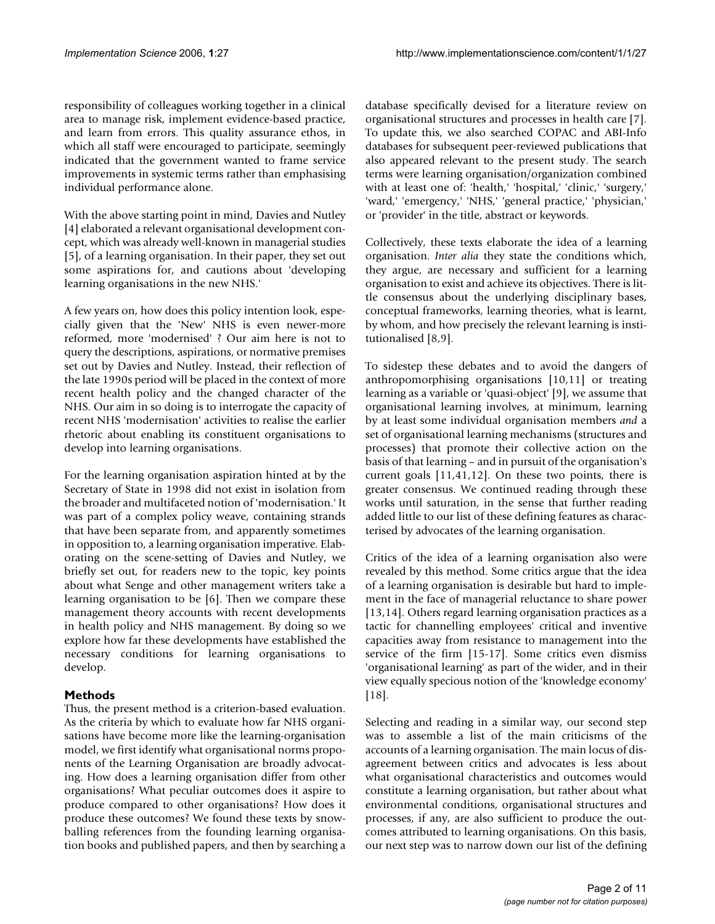responsibility of colleagues working together in a clinical area to manage risk, implement evidence-based practice, and learn from errors. This quality assurance ethos, in which all staff were encouraged to participate, seemingly indicated that the government wanted to frame service improvements in systemic terms rather than emphasising individual performance alone.

With the above starting point in mind, Davies and Nutley [4] elaborated a relevant organisational development concept, which was already well-known in managerial studies [5], of a learning organisation. In their paper, they set out some aspirations for, and cautions about 'developing learning organisations in the new NHS.'

A few years on, how does this policy intention look, especially given that the 'New' NHS is even newer-more reformed, more 'modernised' ? Our aim here is not to query the descriptions, aspirations, or normative premises set out by Davies and Nutley. Instead, their reflection of the late 1990s period will be placed in the context of more recent health policy and the changed character of the NHS. Our aim in so doing is to interrogate the capacity of recent NHS 'modernisation' activities to realise the earlier rhetoric about enabling its constituent organisations to develop into learning organisations.

For the learning organisation aspiration hinted at by the Secretary of State in 1998 did not exist in isolation from the broader and multifaceted notion of 'modernisation.' It was part of a complex policy weave, containing strands that have been separate from, and apparently sometimes in opposition to, a learning organisation imperative. Elaborating on the scene-setting of Davies and Nutley, we briefly set out, for readers new to the topic, key points about what Senge and other management writers take a learning organisation to be [6]. Then we compare these management theory accounts with recent developments in health policy and NHS management. By doing so we explore how far these developments have established the necessary conditions for learning organisations to develop.

# **Methods**

Thus, the present method is a criterion-based evaluation. As the criteria by which to evaluate how far NHS organisations have become more like the learning-organisation model, we first identify what organisational norms proponents of the Learning Organisation are broadly advocating. How does a learning organisation differ from other organisations? What peculiar outcomes does it aspire to produce compared to other organisations? How does it produce these outcomes? We found these texts by snowballing references from the founding learning organisation books and published papers, and then by searching a

database specifically devised for a literature review on organisational structures and processes in health care [7]. To update this, we also searched COPAC and ABI-Info databases for subsequent peer-reviewed publications that also appeared relevant to the present study. The search terms were learning organisation/organization combined with at least one of: 'health,' 'hospital,' 'clinic,' 'surgery,' 'ward,' 'emergency,' 'NHS,' 'general practice,' 'physician,' or 'provider' in the title, abstract or keywords.

Collectively, these texts elaborate the idea of a learning organisation. *Inter alia* they state the conditions which, they argue, are necessary and sufficient for a learning organisation to exist and achieve its objectives. There is little consensus about the underlying disciplinary bases, conceptual frameworks, learning theories, what is learnt, by whom, and how precisely the relevant learning is institutionalised [8,9].

To sidestep these debates and to avoid the dangers of anthropomorphising organisations [10,11] or treating learning as a variable or 'quasi-object' [9], we assume that organisational learning involves, at minimum, learning by at least some individual organisation members *and* a set of organisational learning mechanisms (structures and processes) that promote their collective action on the basis of that learning – and in pursuit of the organisation's current goals [11,41,12]. On these two points, there is greater consensus. We continued reading through these works until saturation, in the sense that further reading added little to our list of these defining features as characterised by advocates of the learning organisation.

Critics of the idea of a learning organisation also were revealed by this method. Some critics argue that the idea of a learning organisation is desirable but hard to implement in the face of managerial reluctance to share power [13,14]. Others regard learning organisation practices as a tactic for channelling employees' critical and inventive capacities away from resistance to management into the service of the firm [15-17]. Some critics even dismiss 'organisational learning' as part of the wider, and in their view equally specious notion of the 'knowledge economy' [18].

Selecting and reading in a similar way, our second step was to assemble a list of the main criticisms of the accounts of a learning organisation. The main locus of disagreement between critics and advocates is less about what organisational characteristics and outcomes would constitute a learning organisation, but rather about what environmental conditions, organisational structures and processes, if any, are also sufficient to produce the outcomes attributed to learning organisations. On this basis, our next step was to narrow down our list of the defining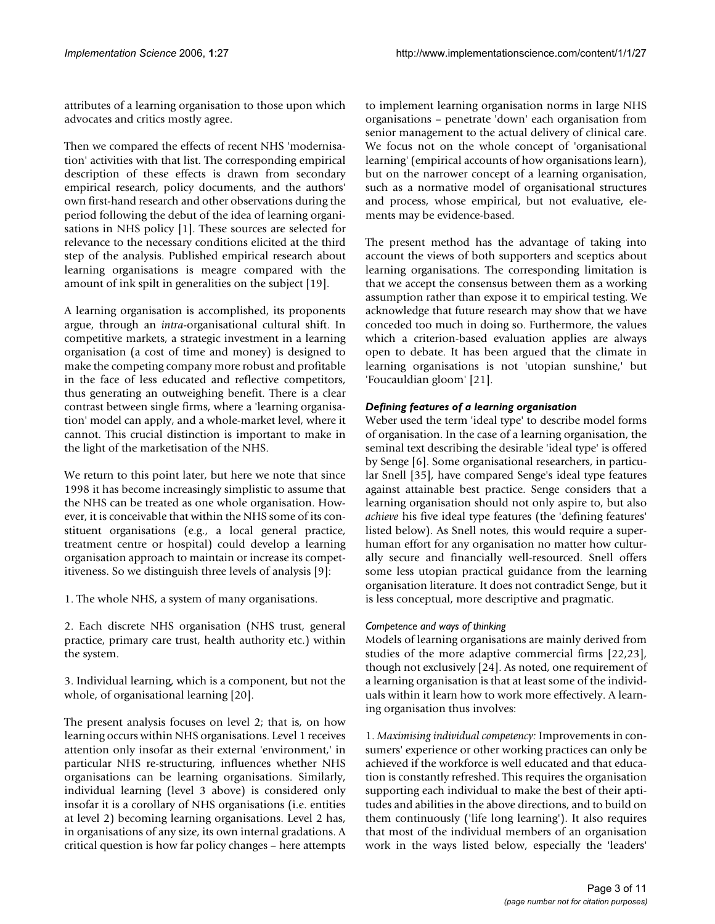attributes of a learning organisation to those upon which advocates and critics mostly agree.

Then we compared the effects of recent NHS 'modernisation' activities with that list. The corresponding empirical description of these effects is drawn from secondary empirical research, policy documents, and the authors' own first-hand research and other observations during the period following the debut of the idea of learning organisations in NHS policy [1]. These sources are selected for relevance to the necessary conditions elicited at the third step of the analysis. Published empirical research about learning organisations is meagre compared with the amount of ink spilt in generalities on the subject [19].

A learning organisation is accomplished, its proponents argue, through an *intra*-organisational cultural shift. In competitive markets, a strategic investment in a learning organisation (a cost of time and money) is designed to make the competing company more robust and profitable in the face of less educated and reflective competitors, thus generating an outweighing benefit. There is a clear contrast between single firms, where a 'learning organisation' model can apply, and a whole-market level, where it cannot. This crucial distinction is important to make in the light of the marketisation of the NHS.

We return to this point later, but here we note that since 1998 it has become increasingly simplistic to assume that the NHS can be treated as one whole organisation. However, it is conceivable that within the NHS some of its constituent organisations (e.g., a local general practice, treatment centre or hospital) could develop a learning organisation approach to maintain or increase its competitiveness. So we distinguish three levels of analysis [9]:

1. The whole NHS, a system of many organisations.

2. Each discrete NHS organisation (NHS trust, general practice, primary care trust, health authority etc.) within the system.

3. Individual learning, which is a component, but not the whole, of organisational learning [20].

The present analysis focuses on level 2; that is, on how learning occurs within NHS organisations. Level 1 receives attention only insofar as their external 'environment,' in particular NHS re-structuring, influences whether NHS organisations can be learning organisations. Similarly, individual learning (level 3 above) is considered only insofar it is a corollary of NHS organisations (i.e. entities at level 2) becoming learning organisations. Level 2 has, in organisations of any size, its own internal gradations. A critical question is how far policy changes – here attempts to implement learning organisation norms in large NHS organisations – penetrate 'down' each organisation from senior management to the actual delivery of clinical care. We focus not on the whole concept of 'organisational learning' (empirical accounts of how organisations learn), but on the narrower concept of a learning organisation, such as a normative model of organisational structures and process, whose empirical, but not evaluative, elements may be evidence-based.

The present method has the advantage of taking into account the views of both supporters and sceptics about learning organisations. The corresponding limitation is that we accept the consensus between them as a working assumption rather than expose it to empirical testing. We acknowledge that future research may show that we have conceded too much in doing so. Furthermore, the values which a criterion-based evaluation applies are always open to debate. It has been argued that the climate in learning organisations is not 'utopian sunshine,' but 'Foucauldian gloom' [21].

# *Defining features of a learning organisation*

Weber used the term 'ideal type' to describe model forms of organisation. In the case of a learning organisation, the seminal text describing the desirable 'ideal type' is offered by Senge [6]. Some organisational researchers, in particular Snell [35], have compared Senge's ideal type features against attainable best practice. Senge considers that a learning organisation should not only aspire to, but also *achieve* his five ideal type features (the 'defining features' listed below). As Snell notes, this would require a superhuman effort for any organisation no matter how culturally secure and financially well-resourced. Snell offers some less utopian practical guidance from the learning organisation literature. It does not contradict Senge, but it is less conceptual, more descriptive and pragmatic.

# *Competence and ways of thinking*

Models of learning organisations are mainly derived from studies of the more adaptive commercial firms [22,23], though not exclusively [24]. As noted, one requirement of a learning organisation is that at least some of the individuals within it learn how to work more effectively. A learning organisation thus involves:

1. *Maximising individual competency:* Improvements in consumers' experience or other working practices can only be achieved if the workforce is well educated and that education is constantly refreshed. This requires the organisation supporting each individual to make the best of their aptitudes and abilities in the above directions, and to build on them continuously ('life long learning'). It also requires that most of the individual members of an organisation work in the ways listed below, especially the 'leaders'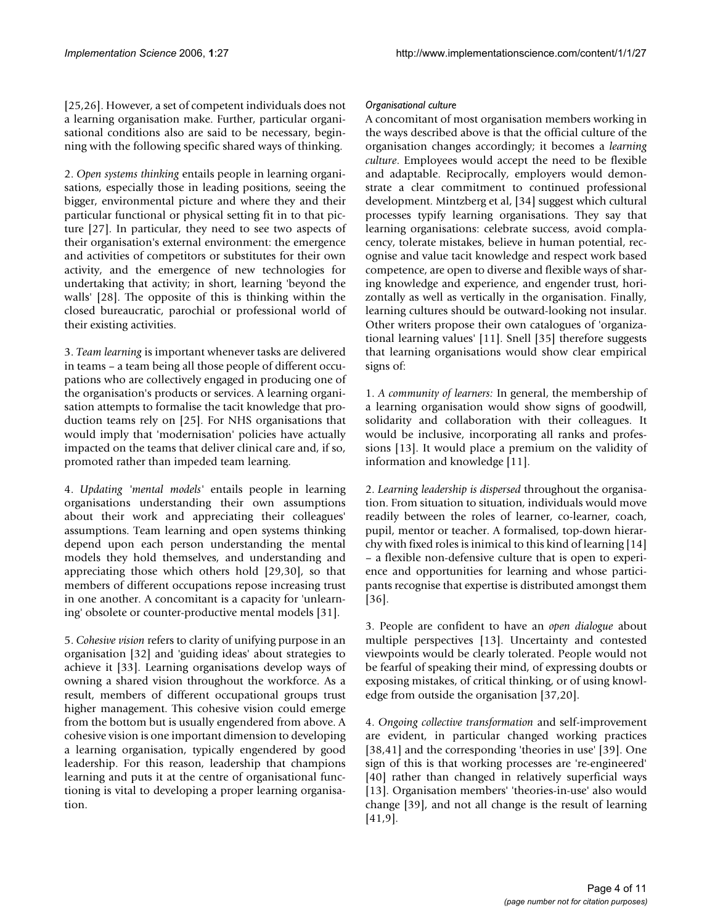[25,26]. However, a set of competent individuals does not a learning organisation make. Further, particular organisational conditions also are said to be necessary, beginning with the following specific shared ways of thinking.

2. *Open systems thinking* entails people in learning organisations, especially those in leading positions, seeing the bigger, environmental picture and where they and their particular functional or physical setting fit in to that picture [27]. In particular, they need to see two aspects of their organisation's external environment: the emergence and activities of competitors or substitutes for their own activity, and the emergence of new technologies for undertaking that activity; in short, learning 'beyond the walls' [28]. The opposite of this is thinking within the closed bureaucratic, parochial or professional world of their existing activities.

3. *Team learning* is important whenever tasks are delivered in teams – a team being all those people of different occupations who are collectively engaged in producing one of the organisation's products or services. A learning organisation attempts to formalise the tacit knowledge that production teams rely on [25]. For NHS organisations that would imply that 'modernisation' policies have actually impacted on the teams that deliver clinical care and, if so, promoted rather than impeded team learning.

4. *Updating 'mental models'* entails people in learning organisations understanding their own assumptions about their work and appreciating their colleagues' assumptions. Team learning and open systems thinking depend upon each person understanding the mental models they hold themselves, and understanding and appreciating those which others hold [29,30], so that members of different occupations repose increasing trust in one another. A concomitant is a capacity for 'unlearning' obsolete or counter-productive mental models [31].

5. *Cohesive vision* refers to clarity of unifying purpose in an organisation [32] and 'guiding ideas' about strategies to achieve it [33]. Learning organisations develop ways of owning a shared vision throughout the workforce. As a result, members of different occupational groups trust higher management. This cohesive vision could emerge from the bottom but is usually engendered from above. A cohesive vision is one important dimension to developing a learning organisation, typically engendered by good leadership. For this reason, leadership that champions learning and puts it at the centre of organisational functioning is vital to developing a proper learning organisation.

# *Organisational culture*

A concomitant of most organisation members working in the ways described above is that the official culture of the organisation changes accordingly; it becomes a *learning culture*. Employees would accept the need to be flexible and adaptable. Reciprocally, employers would demonstrate a clear commitment to continued professional development. Mintzberg et al, [34] suggest which cultural processes typify learning organisations. They say that learning organisations: celebrate success, avoid complacency, tolerate mistakes, believe in human potential, recognise and value tacit knowledge and respect work based competence, are open to diverse and flexible ways of sharing knowledge and experience, and engender trust, horizontally as well as vertically in the organisation. Finally, learning cultures should be outward-looking not insular. Other writers propose their own catalogues of 'organizational learning values' [11]. Snell [35] therefore suggests that learning organisations would show clear empirical signs of:

1. *A community of learners:* In general, the membership of a learning organisation would show signs of goodwill, solidarity and collaboration with their colleagues. It would be inclusive, incorporating all ranks and professions [13]. It would place a premium on the validity of information and knowledge [11].

2. *Learning leadership is dispersed* throughout the organisation. From situation to situation, individuals would move readily between the roles of learner, co-learner, coach, pupil, mentor or teacher. A formalised, top-down hierarchy with fixed roles is inimical to this kind of learning [14] – a flexible non-defensive culture that is open to experience and opportunities for learning and whose participants recognise that expertise is distributed amongst them [36].

3. People are confident to have an *open dialogue* about multiple perspectives [13]. Uncertainty and contested viewpoints would be clearly tolerated. People would not be fearful of speaking their mind, of expressing doubts or exposing mistakes, of critical thinking, or of using knowledge from outside the organisation [37,20].

4. *Ongoing collective transformation* and self-improvement are evident, in particular changed working practices [38,41] and the corresponding 'theories in use' [39]. One sign of this is that working processes are 're-engineered' [40] rather than changed in relatively superficial ways [13]. Organisation members' 'theories-in-use' also would change [39], and not all change is the result of learning [41,9].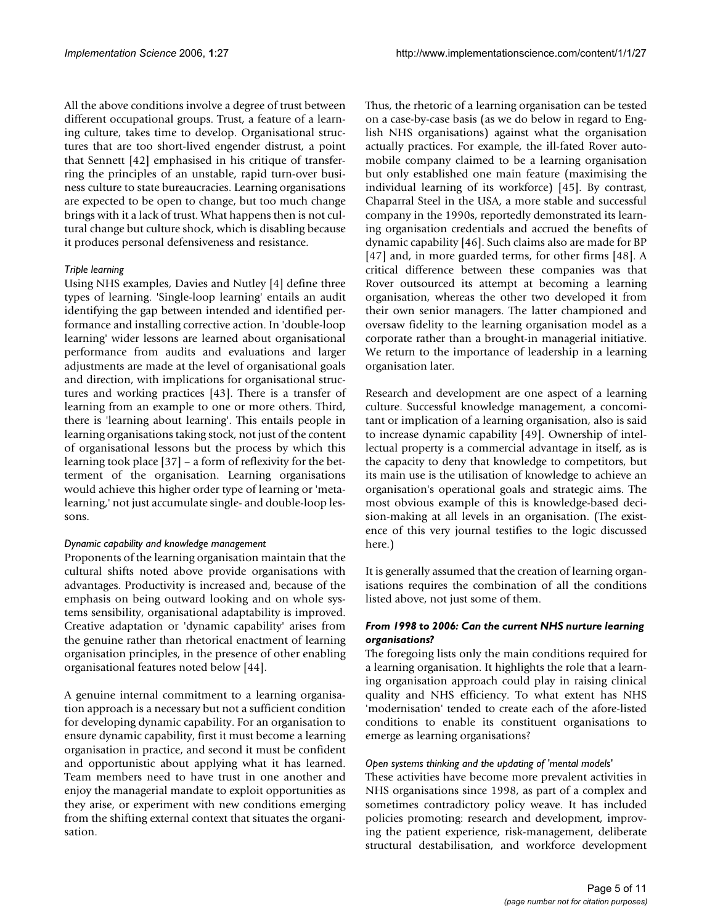All the above conditions involve a degree of trust between different occupational groups. Trust, a feature of a learning culture, takes time to develop. Organisational structures that are too short-lived engender distrust, a point that Sennett [42] emphasised in his critique of transferring the principles of an unstable, rapid turn-over business culture to state bureaucracies. Learning organisations are expected to be open to change, but too much change brings with it a lack of trust. What happens then is not cultural change but culture shock, which is disabling because it produces personal defensiveness and resistance.

### *Triple learning*

Using NHS examples, Davies and Nutley [4] define three types of learning. 'Single-loop learning' entails an audit identifying the gap between intended and identified performance and installing corrective action. In 'double-loop learning' wider lessons are learned about organisational performance from audits and evaluations and larger adjustments are made at the level of organisational goals and direction, with implications for organisational structures and working practices [43]. There is a transfer of learning from an example to one or more others. Third, there is 'learning about learning'. This entails people in learning organisations taking stock, not just of the content of organisational lessons but the process by which this learning took place [37] – a form of reflexivity for the betterment of the organisation. Learning organisations would achieve this higher order type of learning or 'metalearning,' not just accumulate single- and double-loop lessons.

#### *Dynamic capability and knowledge management*

Proponents of the learning organisation maintain that the cultural shifts noted above provide organisations with advantages. Productivity is increased and, because of the emphasis on being outward looking and on whole systems sensibility, organisational adaptability is improved. Creative adaptation or 'dynamic capability' arises from the genuine rather than rhetorical enactment of learning organisation principles, in the presence of other enabling organisational features noted below [44].

A genuine internal commitment to a learning organisation approach is a necessary but not a sufficient condition for developing dynamic capability. For an organisation to ensure dynamic capability, first it must become a learning organisation in practice, and second it must be confident and opportunistic about applying what it has learned. Team members need to have trust in one another and enjoy the managerial mandate to exploit opportunities as they arise, or experiment with new conditions emerging from the shifting external context that situates the organisation.

Thus, the rhetoric of a learning organisation can be tested on a case-by-case basis (as we do below in regard to English NHS organisations) against what the organisation actually practices. For example, the ill-fated Rover automobile company claimed to be a learning organisation but only established one main feature (maximising the individual learning of its workforce) [45]. By contrast, Chaparral Steel in the USA, a more stable and successful company in the 1990s, reportedly demonstrated its learning organisation credentials and accrued the benefits of dynamic capability [46]. Such claims also are made for BP [47] and, in more guarded terms, for other firms [48]. A critical difference between these companies was that Rover outsourced its attempt at becoming a learning organisation, whereas the other two developed it from their own senior managers. The latter championed and oversaw fidelity to the learning organisation model as a corporate rather than a brought-in managerial initiative. We return to the importance of leadership in a learning organisation later.

Research and development are one aspect of a learning culture. Successful knowledge management, a concomitant or implication of a learning organisation, also is said to increase dynamic capability [49]. Ownership of intellectual property is a commercial advantage in itself, as is the capacity to deny that knowledge to competitors, but its main use is the utilisation of knowledge to achieve an organisation's operational goals and strategic aims. The most obvious example of this is knowledge-based decision-making at all levels in an organisation. (The existence of this very journal testifies to the logic discussed here.)

It is generally assumed that the creation of learning organisations requires the combination of all the conditions listed above, not just some of them.

### *From 1998 to 2006: Can the current NHS nurture learning organisations?*

The foregoing lists only the main conditions required for a learning organisation. It highlights the role that a learning organisation approach could play in raising clinical quality and NHS efficiency. To what extent has NHS 'modernisation' tended to create each of the afore-listed conditions to enable its constituent organisations to emerge as learning organisations?

#### *Open systems thinking and the updating of 'mental models'*

These activities have become more prevalent activities in NHS organisations since 1998, as part of a complex and sometimes contradictory policy weave. It has included policies promoting: research and development, improving the patient experience, risk-management, deliberate structural destabilisation, and workforce development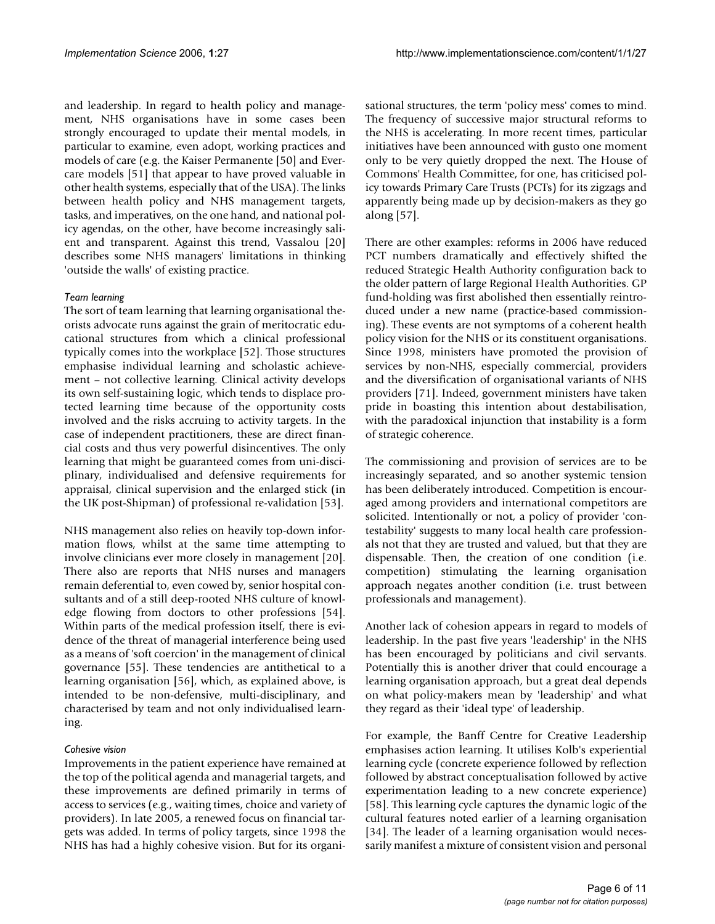and leadership. In regard to health policy and management, NHS organisations have in some cases been strongly encouraged to update their mental models, in particular to examine, even adopt, working practices and models of care (e.g. the Kaiser Permanente [50] and Evercare models [51] that appear to have proved valuable in other health systems, especially that of the USA). The links between health policy and NHS management targets, tasks, and imperatives, on the one hand, and national policy agendas, on the other, have become increasingly salient and transparent. Against this trend, Vassalou [20] describes some NHS managers' limitations in thinking 'outside the walls' of existing practice.

#### *Team learning*

The sort of team learning that learning organisational theorists advocate runs against the grain of meritocratic educational structures from which a clinical professional typically comes into the workplace [52]. Those structures emphasise individual learning and scholastic achievement – not collective learning. Clinical activity develops its own self-sustaining logic, which tends to displace protected learning time because of the opportunity costs involved and the risks accruing to activity targets. In the case of independent practitioners, these are direct financial costs and thus very powerful disincentives. The only learning that might be guaranteed comes from uni-disciplinary, individualised and defensive requirements for appraisal, clinical supervision and the enlarged stick (in the UK post-Shipman) of professional re-validation [53].

NHS management also relies on heavily top-down information flows, whilst at the same time attempting to involve clinicians ever more closely in management [20]. There also are reports that NHS nurses and managers remain deferential to, even cowed by, senior hospital consultants and of a still deep-rooted NHS culture of knowledge flowing from doctors to other professions [54]. Within parts of the medical profession itself, there is evidence of the threat of managerial interference being used as a means of 'soft coercion' in the management of clinical governance [55]. These tendencies are antithetical to a learning organisation [56], which, as explained above, is intended to be non-defensive, multi-disciplinary, and characterised by team and not only individualised learning.

#### *Cohesive vision*

Improvements in the patient experience have remained at the top of the political agenda and managerial targets, and these improvements are defined primarily in terms of access to services (e.g., waiting times, choice and variety of providers). In late 2005, a renewed focus on financial targets was added. In terms of policy targets, since 1998 the NHS has had a highly cohesive vision. But for its organisational structures, the term 'policy mess' comes to mind. The frequency of successive major structural reforms to the NHS is accelerating. In more recent times, particular initiatives have been announced with gusto one moment only to be very quietly dropped the next. The House of Commons' Health Committee, for one, has criticised policy towards Primary Care Trusts (PCTs) for its zigzags and apparently being made up by decision-makers as they go along [57].

There are other examples: reforms in 2006 have reduced PCT numbers dramatically and effectively shifted the reduced Strategic Health Authority configuration back to the older pattern of large Regional Health Authorities. GP fund-holding was first abolished then essentially reintroduced under a new name (practice-based commissioning). These events are not symptoms of a coherent health policy vision for the NHS or its constituent organisations. Since 1998, ministers have promoted the provision of services by non-NHS, especially commercial, providers and the diversification of organisational variants of NHS providers [71]. Indeed, government ministers have taken pride in boasting this intention about destabilisation, with the paradoxical injunction that instability is a form of strategic coherence.

The commissioning and provision of services are to be increasingly separated, and so another systemic tension has been deliberately introduced. Competition is encouraged among providers and international competitors are solicited. Intentionally or not, a policy of provider 'contestability' suggests to many local health care professionals not that they are trusted and valued, but that they are dispensable. Then, the creation of one condition (i.e. competition) stimulating the learning organisation approach negates another condition (i.e. trust between professionals and management).

Another lack of cohesion appears in regard to models of leadership. In the past five years 'leadership' in the NHS has been encouraged by politicians and civil servants. Potentially this is another driver that could encourage a learning organisation approach, but a great deal depends on what policy-makers mean by 'leadership' and what they regard as their 'ideal type' of leadership.

For example, the Banff Centre for Creative Leadership emphasises action learning. It utilises Kolb's experiential learning cycle (concrete experience followed by reflection followed by abstract conceptualisation followed by active experimentation leading to a new concrete experience) [58]. This learning cycle captures the dynamic logic of the cultural features noted earlier of a learning organisation [34]. The leader of a learning organisation would necessarily manifest a mixture of consistent vision and personal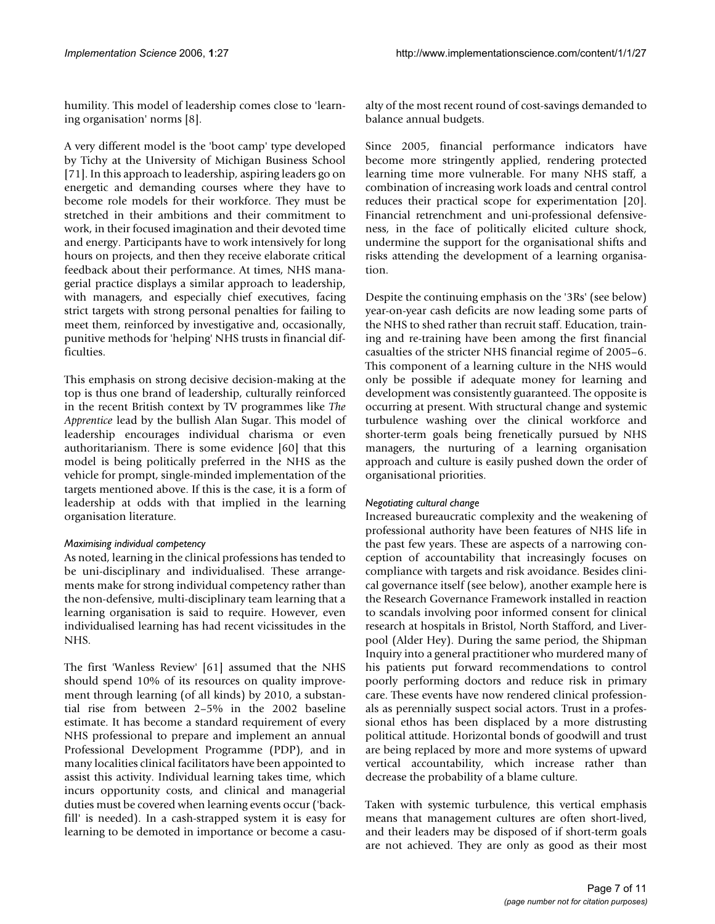humility. This model of leadership comes close to 'learning organisation' norms [8].

A very different model is the 'boot camp' type developed by Tichy at the University of Michigan Business School [71]. In this approach to leadership, aspiring leaders go on energetic and demanding courses where they have to become role models for their workforce. They must be stretched in their ambitions and their commitment to work, in their focused imagination and their devoted time and energy. Participants have to work intensively for long hours on projects, and then they receive elaborate critical feedback about their performance. At times, NHS managerial practice displays a similar approach to leadership, with managers, and especially chief executives, facing strict targets with strong personal penalties for failing to meet them, reinforced by investigative and, occasionally, punitive methods for 'helping' NHS trusts in financial difficulties.

This emphasis on strong decisive decision-making at the top is thus one brand of leadership, culturally reinforced in the recent British context by TV programmes like *The Apprentice* lead by the bullish Alan Sugar. This model of leadership encourages individual charisma or even authoritarianism. There is some evidence [60] that this model is being politically preferred in the NHS as the vehicle for prompt, single-minded implementation of the targets mentioned above. If this is the case, it is a form of leadership at odds with that implied in the learning organisation literature.

# *Maximising individual competency*

As noted, learning in the clinical professions has tended to be uni-disciplinary and individualised. These arrangements make for strong individual competency rather than the non-defensive, multi-disciplinary team learning that a learning organisation is said to require. However, even individualised learning has had recent vicissitudes in the NHS.

The first 'Wanless Review' [61] assumed that the NHS should spend 10% of its resources on quality improvement through learning (of all kinds) by 2010, a substantial rise from between 2–5% in the 2002 baseline estimate. It has become a standard requirement of every NHS professional to prepare and implement an annual Professional Development Programme (PDP), and in many localities clinical facilitators have been appointed to assist this activity. Individual learning takes time, which incurs opportunity costs, and clinical and managerial duties must be covered when learning events occur ('backfill' is needed). In a cash-strapped system it is easy for learning to be demoted in importance or become a casualty of the most recent round of cost-savings demanded to balance annual budgets.

Since 2005, financial performance indicators have become more stringently applied, rendering protected learning time more vulnerable. For many NHS staff, a combination of increasing work loads and central control reduces their practical scope for experimentation [20]. Financial retrenchment and uni-professional defensiveness, in the face of politically elicited culture shock, undermine the support for the organisational shifts and risks attending the development of a learning organisation.

Despite the continuing emphasis on the '3Rs' (see below) year-on-year cash deficits are now leading some parts of the NHS to shed rather than recruit staff. Education, training and re-training have been among the first financial casualties of the stricter NHS financial regime of 2005–6. This component of a learning culture in the NHS would only be possible if adequate money for learning and development was consistently guaranteed. The opposite is occurring at present. With structural change and systemic turbulence washing over the clinical workforce and shorter-term goals being frenetically pursued by NHS managers, the nurturing of a learning organisation approach and culture is easily pushed down the order of organisational priorities.

# *Negotiating cultural change*

Increased bureaucratic complexity and the weakening of professional authority have been features of NHS life in the past few years. These are aspects of a narrowing conception of accountability that increasingly focuses on compliance with targets and risk avoidance. Besides clinical governance itself (see below), another example here is the Research Governance Framework installed in reaction to scandals involving poor informed consent for clinical research at hospitals in Bristol, North Stafford, and Liverpool (Alder Hey). During the same period, the Shipman Inquiry into a general practitioner who murdered many of his patients put forward recommendations to control poorly performing doctors and reduce risk in primary care. These events have now rendered clinical professionals as perennially suspect social actors. Trust in a professional ethos has been displaced by a more distrusting political attitude. Horizontal bonds of goodwill and trust are being replaced by more and more systems of upward vertical accountability, which increase rather than decrease the probability of a blame culture.

Taken with systemic turbulence, this vertical emphasis means that management cultures are often short-lived, and their leaders may be disposed of if short-term goals are not achieved. They are only as good as their most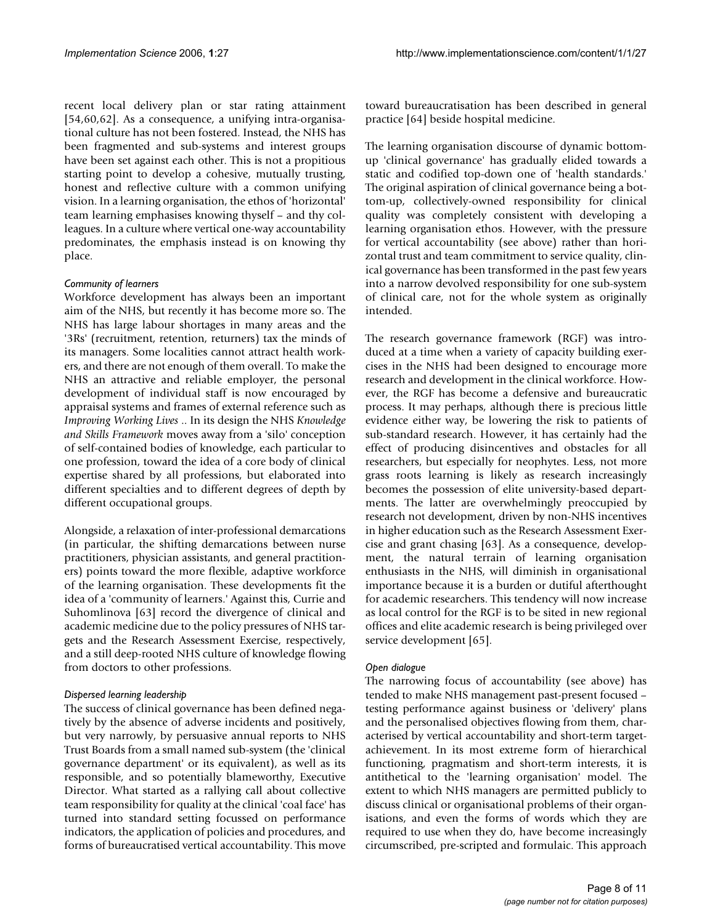recent local delivery plan or star rating attainment [54,60,62]. As a consequence, a unifying intra-organisational culture has not been fostered. Instead, the NHS has been fragmented and sub-systems and interest groups have been set against each other. This is not a propitious starting point to develop a cohesive, mutually trusting, honest and reflective culture with a common unifying vision. In a learning organisation, the ethos of 'horizontal' team learning emphasises knowing thyself – and thy colleagues. In a culture where vertical one-way accountability predominates, the emphasis instead is on knowing thy place.

#### *Community of learners*

Workforce development has always been an important aim of the NHS, but recently it has become more so. The NHS has large labour shortages in many areas and the '3Rs' (recruitment, retention, returners) tax the minds of its managers. Some localities cannot attract health workers, and there are not enough of them overall. To make the NHS an attractive and reliable employer, the personal development of individual staff is now encouraged by appraisal systems and frames of external reference such as *Improving Working Lives* .. In its design the NHS *Knowledge and Skills Framework* moves away from a 'silo' conception of self-contained bodies of knowledge, each particular to one profession, toward the idea of a core body of clinical expertise shared by all professions, but elaborated into different specialties and to different degrees of depth by different occupational groups.

Alongside, a relaxation of inter-professional demarcations (in particular, the shifting demarcations between nurse practitioners, physician assistants, and general practitioners) points toward the more flexible, adaptive workforce of the learning organisation. These developments fit the idea of a 'community of learners.' Against this, Currie and Suhomlinova [63] record the divergence of clinical and academic medicine due to the policy pressures of NHS targets and the Research Assessment Exercise, respectively, and a still deep-rooted NHS culture of knowledge flowing from doctors to other professions.

#### *Dispersed learning leadership*

The success of clinical governance has been defined negatively by the absence of adverse incidents and positively, but very narrowly, by persuasive annual reports to NHS Trust Boards from a small named sub-system (the 'clinical governance department' or its equivalent), as well as its responsible, and so potentially blameworthy, Executive Director. What started as a rallying call about collective team responsibility for quality at the clinical 'coal face' has turned into standard setting focussed on performance indicators, the application of policies and procedures, and forms of bureaucratised vertical accountability. This move toward bureaucratisation has been described in general practice [64] beside hospital medicine.

The learning organisation discourse of dynamic bottomup 'clinical governance' has gradually elided towards a static and codified top-down one of 'health standards.' The original aspiration of clinical governance being a bottom-up, collectively-owned responsibility for clinical quality was completely consistent with developing a learning organisation ethos. However, with the pressure for vertical accountability (see above) rather than horizontal trust and team commitment to service quality, clinical governance has been transformed in the past few years into a narrow devolved responsibility for one sub-system of clinical care, not for the whole system as originally intended.

The research governance framework (RGF) was introduced at a time when a variety of capacity building exercises in the NHS had been designed to encourage more research and development in the clinical workforce. However, the RGF has become a defensive and bureaucratic process. It may perhaps, although there is precious little evidence either way, be lowering the risk to patients of sub-standard research. However, it has certainly had the effect of producing disincentives and obstacles for all researchers, but especially for neophytes. Less, not more grass roots learning is likely as research increasingly becomes the possession of elite university-based departments. The latter are overwhelmingly preoccupied by research not development, driven by non-NHS incentives in higher education such as the Research Assessment Exercise and grant chasing [63]. As a consequence, development, the natural terrain of learning organisation enthusiasts in the NHS, will diminish in organisational importance because it is a burden or dutiful afterthought for academic researchers. This tendency will now increase as local control for the RGF is to be sited in new regional offices and elite academic research is being privileged over service development [65].

#### *Open dialogue*

The narrowing focus of accountability (see above) has tended to make NHS management past-present focused – testing performance against business or 'delivery' plans and the personalised objectives flowing from them, characterised by vertical accountability and short-term targetachievement. In its most extreme form of hierarchical functioning, pragmatism and short-term interests, it is antithetical to the 'learning organisation' model. The extent to which NHS managers are permitted publicly to discuss clinical or organisational problems of their organisations, and even the forms of words which they are required to use when they do, have become increasingly circumscribed, pre-scripted and formulaic. This approach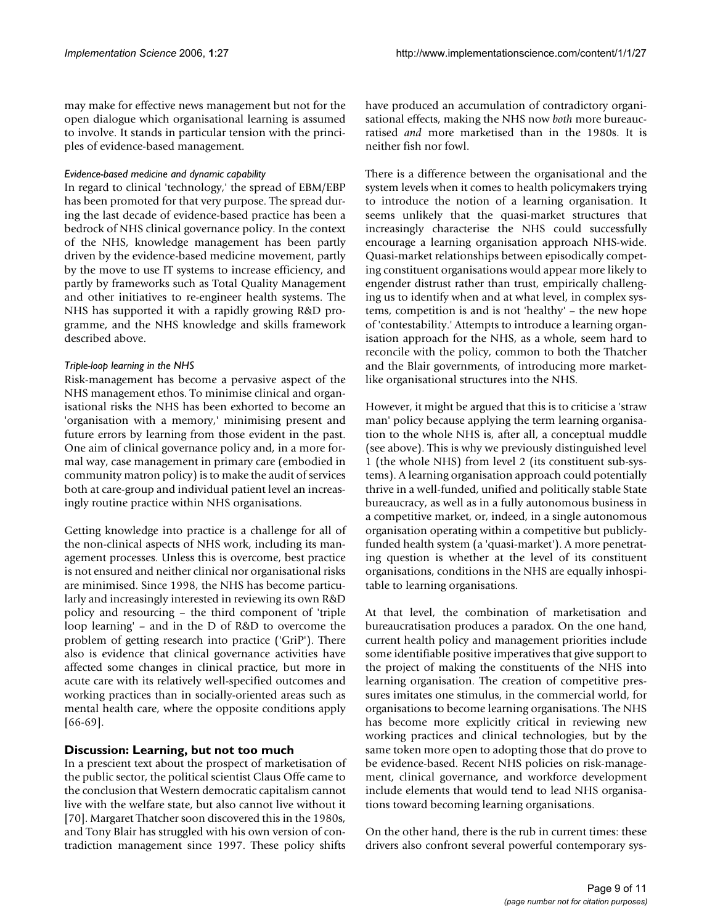may make for effective news management but not for the open dialogue which organisational learning is assumed to involve. It stands in particular tension with the principles of evidence-based management.

## *Evidence-based medicine and dynamic capability*

In regard to clinical 'technology,' the spread of EBM/EBP has been promoted for that very purpose. The spread during the last decade of evidence-based practice has been a bedrock of NHS clinical governance policy. In the context of the NHS, knowledge management has been partly driven by the evidence-based medicine movement, partly by the move to use IT systems to increase efficiency, and partly by frameworks such as Total Quality Management and other initiatives to re-engineer health systems. The NHS has supported it with a rapidly growing R&D programme, and the NHS knowledge and skills framework described above.

# *Triple-loop learning in the NHS*

Risk-management has become a pervasive aspect of the NHS management ethos. To minimise clinical and organisational risks the NHS has been exhorted to become an 'organisation with a memory,' minimising present and future errors by learning from those evident in the past. One aim of clinical governance policy and, in a more formal way, case management in primary care (embodied in community matron policy) is to make the audit of services both at care-group and individual patient level an increasingly routine practice within NHS organisations.

Getting knowledge into practice is a challenge for all of the non-clinical aspects of NHS work, including its management processes. Unless this is overcome, best practice is not ensured and neither clinical nor organisational risks are minimised. Since 1998, the NHS has become particularly and increasingly interested in reviewing its own R&D policy and resourcing – the third component of 'triple loop learning' – and in the D of R&D to overcome the problem of getting research into practice ('GriP'). There also is evidence that clinical governance activities have affected some changes in clinical practice, but more in acute care with its relatively well-specified outcomes and working practices than in socially-oriented areas such as mental health care, where the opposite conditions apply [66-69].

# **Discussion: Learning, but not too much**

In a prescient text about the prospect of marketisation of the public sector, the political scientist Claus Offe came to the conclusion that Western democratic capitalism cannot live with the welfare state, but also cannot live without it [70]. Margaret Thatcher soon discovered this in the 1980s, and Tony Blair has struggled with his own version of contradiction management since 1997. These policy shifts have produced an accumulation of contradictory organisational effects, making the NHS now *both* more bureaucratised *and* more marketised than in the 1980s. It is neither fish nor fowl.

There is a difference between the organisational and the system levels when it comes to health policymakers trying to introduce the notion of a learning organisation. It seems unlikely that the quasi-market structures that increasingly characterise the NHS could successfully encourage a learning organisation approach NHS-wide. Quasi-market relationships between episodically competing constituent organisations would appear more likely to engender distrust rather than trust, empirically challenging us to identify when and at what level, in complex systems, competition is and is not 'healthy' – the new hope of 'contestability.' Attempts to introduce a learning organisation approach for the NHS, as a whole, seem hard to reconcile with the policy, common to both the Thatcher and the Blair governments, of introducing more marketlike organisational structures into the NHS.

However, it might be argued that this is to criticise a 'straw man' policy because applying the term learning organisation to the whole NHS is, after all, a conceptual muddle (see above). This is why we previously distinguished level 1 (the whole NHS) from level 2 (its constituent sub-systems). A learning organisation approach could potentially thrive in a well-funded, unified and politically stable State bureaucracy, as well as in a fully autonomous business in a competitive market, or, indeed, in a single autonomous organisation operating within a competitive but publiclyfunded health system (a 'quasi-market'). A more penetrating question is whether at the level of its constituent organisations, conditions in the NHS are equally inhospitable to learning organisations.

At that level, the combination of marketisation and bureaucratisation produces a paradox. On the one hand, current health policy and management priorities include some identifiable positive imperatives that give support to the project of making the constituents of the NHS into learning organisation. The creation of competitive pressures imitates one stimulus, in the commercial world, for organisations to become learning organisations. The NHS has become more explicitly critical in reviewing new working practices and clinical technologies, but by the same token more open to adopting those that do prove to be evidence-based. Recent NHS policies on risk-management, clinical governance, and workforce development include elements that would tend to lead NHS organisations toward becoming learning organisations.

On the other hand, there is the rub in current times: these drivers also confront several powerful contemporary sys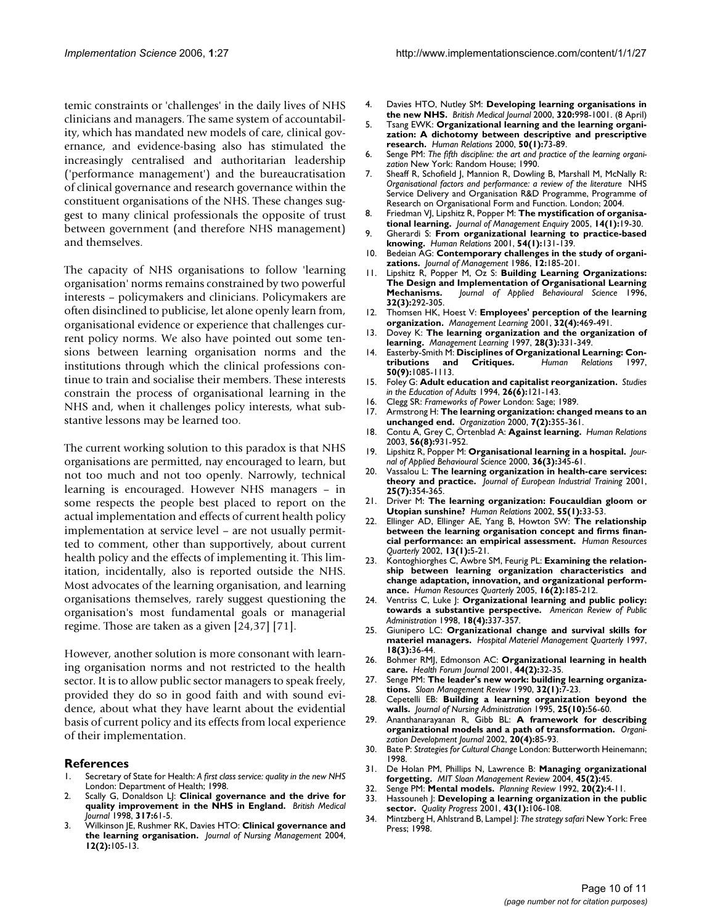temic constraints or 'challenges' in the daily lives of NHS clinicians and managers. The same system of accountability, which has mandated new models of care, clinical governance, and evidence-basing also has stimulated the increasingly centralised and authoritarian leadership ('performance management') and the bureaucratisation of clinical governance and research governance within the constituent organisations of the NHS. These changes suggest to many clinical professionals the opposite of trust between government (and therefore NHS management) and themselves.

The capacity of NHS organisations to follow 'learning organisation' norms remains constrained by two powerful interests – policymakers and clinicians. Policymakers are often disinclined to publicise, let alone openly learn from, organisational evidence or experience that challenges current policy norms. We also have pointed out some tensions between learning organisation norms and the institutions through which the clinical professions continue to train and socialise their members. These interests constrain the process of organisational learning in the NHS and, when it challenges policy interests, what substantive lessons may be learned too.

The current working solution to this paradox is that NHS organisations are permitted, nay encouraged to learn, but not too much and not too openly. Narrowly, technical learning is encouraged. However NHS managers – in some respects the people best placed to report on the actual implementation and effects of current health policy implementation at service level – are not usually permitted to comment, other than supportively, about current health policy and the effects of implementing it. This limitation, incidentally, also is reported outside the NHS. Most advocates of the learning organisation, and learning organisations themselves, rarely suggest questioning the organisation's most fundamental goals or managerial regime. Those are taken as a given [24,37] [71].

However, another solution is more consonant with learning organisation norms and not restricted to the health sector. It is to allow public sector managers to speak freely, provided they do so in good faith and with sound evidence, about what they have learnt about the evidential basis of current policy and its effects from local experience of their implementation.

# **References**

- 1. Secretary of State for Health: *A first class service: quality in the new NHS* London: Department of Health; 1998.
- 2. Scally G, Donaldson LJ: **[Clinical governance and the drive for](http://www.ncbi.nlm.nih.gov/entrez/query.fcgi?cmd=Retrieve&db=PubMed&dopt=Abstract&list_uids=9651278) [quality improvement in the NHS in England.](http://www.ncbi.nlm.nih.gov/entrez/query.fcgi?cmd=Retrieve&db=PubMed&dopt=Abstract&list_uids=9651278)** *British Medical Journal* 1998, **317:**61-5.
- 3. Wilkinson JE, Rushmer RK, Davies HTO: **[Clinical governance and](http://www.ncbi.nlm.nih.gov/entrez/query.fcgi?cmd=Retrieve&db=PubMed&dopt=Abstract&list_uids=15009626) [the learning organisation.](http://www.ncbi.nlm.nih.gov/entrez/query.fcgi?cmd=Retrieve&db=PubMed&dopt=Abstract&list_uids=15009626)** *Journal of Nursing Management* 2004, **12(2):**105-13.
- 4. Davies HTO, Nutley SM: **[Developing learning organisations in](http://www.ncbi.nlm.nih.gov/entrez/query.fcgi?cmd=Retrieve&db=PubMed&dopt=Abstract&list_uids=10753159) [the new NHS.](http://www.ncbi.nlm.nih.gov/entrez/query.fcgi?cmd=Retrieve&db=PubMed&dopt=Abstract&list_uids=10753159)** *British Medical Journal* 2000, **320:**998-1001. (8 April)
- 5. Tsang EWK: **Organizational learning and the learning organization: A dichotomy between descriptive and prescriptive research.** *Human Relations* 2000, **50(1):**73-89.
- 6. Senge PM: *The fifth discipline: the art and practice of the learning organization* New York: Random House; 1990.
- 7. Sheaff R, Schofield J, Mannion R, Dowling B, Marshall M, McNally R: *Organisational factors and performance: a review of the literature* NHS Service Delivery and Organisation R&D Programme, Programme of Research on Organisational Form and Function. London; 2004.
- 8. Friedman VJ, Lipshitz R, Popper M: **The mystification of organisational learning.** *Journal of Management Enquiry* 2005, **14(1):**19-30.
- 9. Gherardi S: **From organizational learning to practice-based knowing.** *Human Relations* 2001, **54(1):**131-139.
- 10. Bedeian AG: **Contemporary challenges in the study of organizations.** *Journal of Management* 1986, **12:**185-201.
- 11. Lipshitz R, Popper M, Oz S: **Building Learning Organizations: The Design and Implementation of Organisational Learning**<br>**Mechanisms.** Journal of Applied Behavioural Science 1996, **Mechanisms.** *Journal of Applied Behavioural Science* 1996, **32(3):**292-305.
- 12. Thomsen HK, Hoest V: **Employees' perception of the learning organization.** *Management Learning* 2001, **32(4):**469-491.
- 13. Dovey K: **The learning organization and the organization of learning.** *Management Learning* 1997, **28(3):**331-349.
- 14. Easterby-Smith M: **Disciplines of Organizational Learning: Con-**<br> **tributions and Critiques.** Human Relations 1997, **tributions and Critiques.** *Human Relations* 1997, **50(9):**1085-1113.
- 15. Foley G: **Adult education and capitalist reorganization.** *Studies*
- *in the Education of Adults* 1994, **26(6):**121-143.
- 16. Clegg SR: *Frameworks of Power* London: Sage; 1989. 17. Armstrong H: **The learning organization: changed means to an unchanged end.** *Organization* 2000, **7(2):**355-361.
- 18. Contu A, Grey C, Örtenblad A: **Against learning.** *Human Relations* 2003, **56(8):**931-952.
- 19. Lipshitz R, Popper M: **Organisational learning in a hospital.** *Journal of Applied Behavioural Science* 2000, **36(3):**345-61.
- 20. Vassalou L: **The learning organization in health-care services: theory and practice.** *Journal of European Industrial Training* 2001, **25(7):**354-365.
- 21. Driver M: **The learning organization: Foucauldian gloom or Utopian sunshine?** *Human Relations* 2002, **55(1):**33-53.
- 22. Ellinger AD, Ellinger AE, Yang B, Howton SW: **The relationship between the learning organisation concept and firms financial performance: an empirical assessment.** *Human Resources Quarterly* 2002, **13(1):**5-21.
- Kontoghiorghes C, Awbre SM, Feurig PL: **Examining the relationship between learning organization characteristics and change adaptation, innovation, and organizational performance.** *Human Resources Quarterly* 2005, **16(2):**185-212.
- 24. Ventriss C, Luke J: **Organizational learning and public policy: towards a substantive perspective.** *American Review of Public Administration* 1998, **18(4):**337-357.
- 25. Giunipero LC: **Organizational change and survival skills for materiel managers.** *Hospital Materiel Management Quarterly* 1997, **18(3):**36-44.
- 26. Bohmer RMJ, Edmonson AC: **[Organizational learning in health](http://www.ncbi.nlm.nih.gov/entrez/query.fcgi?cmd=Retrieve&db=PubMed&dopt=Abstract&list_uids=11330106) [care.](http://www.ncbi.nlm.nih.gov/entrez/query.fcgi?cmd=Retrieve&db=PubMed&dopt=Abstract&list_uids=11330106)** *Health Forum Journal* 2001, **44(2):**32-35.
- 27. Senge PM: **The leader's new work: building learning organizations.** *Sloan Management Review* 1990, **32(1):**7-23.
- 28. Cepetelli EB: **Building a learning organization beyond the walls.** *Journal of Nursing Administration* 1995, **25(10):**56-60.
- 29. Ananthanarayanan R, Gibb BL: **A framework for describing organizational models and a path of transformation.** *Organization Development Journal* 2002, **20(4):**85-93.
- 30. Bate P: *Strategies for Cultural Change* London: Butterworth Heinemann; 1998.
- 31. De Holan PM, Phillips N, Lawrence B: **Managing organizational**
- **forgetting.** *MIT Sloan Management Review* 2004, **45(2):**45. 32. Senge PM: **Mental models.** *Planning Review* 1992, **20(2):**4-11.
- 33. Hassouneh J: **Developing a learning organization in the public sector.** *Quality Progress* 2001, **43(1):**106-108.
- 34. Mintzberg H, Ahlstrand B, Lampel J: *The strategy safari* New York: Free Press; 1998.